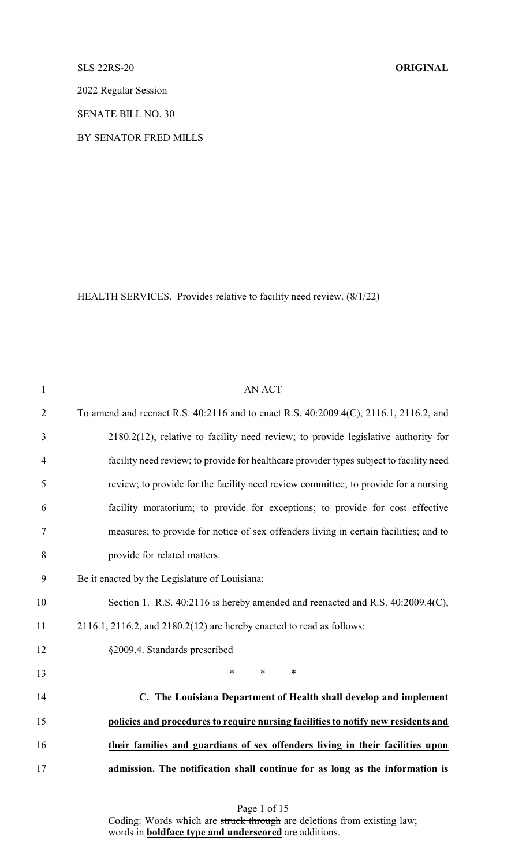SLS 22RS-20 **ORIGINAL**

2022 Regular Session

SENATE BILL NO. 30

BY SENATOR FRED MILLS

HEALTH SERVICES. Provides relative to facility need review. (8/1/22)

| $\mathbf{1}$   | <b>AN ACT</b>                                                                           |
|----------------|-----------------------------------------------------------------------------------------|
| $\overline{2}$ | To amend and reenact R.S. 40:2116 and to enact R.S. 40:2009.4(C), 2116.1, 2116.2, and   |
| 3              | 2180.2(12), relative to facility need review; to provide legislative authority for      |
| $\overline{4}$ | facility need review; to provide for healthcare provider types subject to facility need |
| 5              | review; to provide for the facility need review committee; to provide for a nursing     |
| 6              | facility moratorium; to provide for exceptions; to provide for cost effective           |
| $\tau$         | measures; to provide for notice of sex offenders living in certain facilities; and to   |
| 8              | provide for related matters.                                                            |
| 9              | Be it enacted by the Legislature of Louisiana:                                          |
| 10             | Section 1. R.S. 40:2116 is hereby amended and reenacted and R.S. 40:2009.4(C),          |
| 11             | $2116.1$ , $2116.2$ , and $2180.2(12)$ are hereby enacted to read as follows:           |
| 12             | §2009.4. Standards prescribed                                                           |
| 13             | $\ast$<br>$\ast$<br>$\ast$                                                              |
| 14             | C. The Louisiana Department of Health shall develop and implement                       |
| 15             | policies and procedures to require nursing facilities to notify new residents and       |
| 16             | their families and guardians of sex offenders living in their facilities upon           |
| 17             | admission. The notification shall continue for as long as the information is            |
|                |                                                                                         |

Page 1 of 15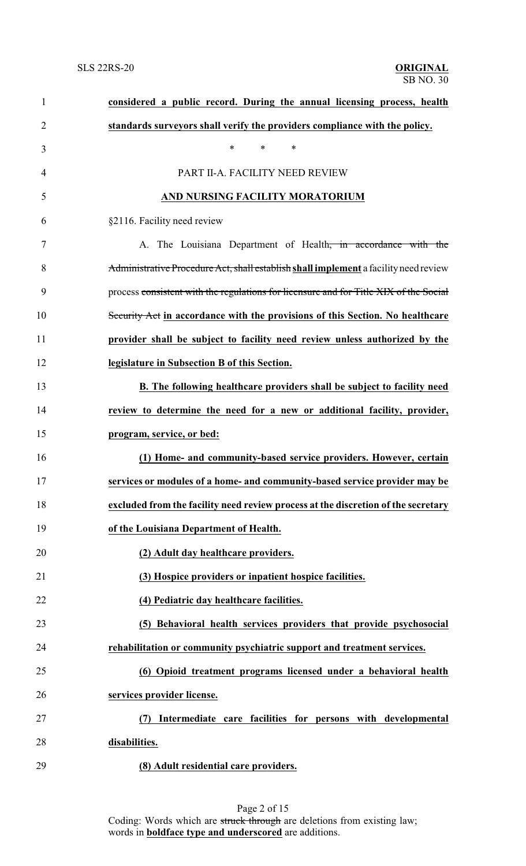| $\mathbf{1}$   | considered a public record. During the annual licensing process, health               |
|----------------|---------------------------------------------------------------------------------------|
| $\overline{2}$ | standards surveyors shall verify the providers compliance with the policy.            |
| 3              | $\ast$<br>$\ast$<br>$\ast$                                                            |
| 4              | PART II-A. FACILITY NEED REVIEW                                                       |
| 5              | AND NURSING FACILITY MORATORIUM                                                       |
| 6              | §2116. Facility need review                                                           |
| 7              | A. The Louisiana Department of Health <del>, in accordance with the</del>             |
| 8              | Administrative Procedure Act, shall establish shall implement a facility need review  |
| 9              | process consistent with the regulations for licensure and for Title XIX of the Social |
| 10             | Security Act in accordance with the provisions of this Section. No healthcare         |
| 11             | provider shall be subject to facility need review unless authorized by the            |
| 12             | legislature in Subsection B of this Section.                                          |
| 13             | <b>B.</b> The following healthcare providers shall be subject to facility need        |
| 14             | review to determine the need for a new or additional facility, provider,              |
| 15             | program, service, or bed:                                                             |
| 16             | (1) Home- and community-based service providers. However, certain                     |
| 17             | services or modules of a home- and community-based service provider may be            |
| 18             | excluded from the facility need review process at the discretion of the secretary     |
| 19             | of the Louisiana Department of Health.                                                |
| 20             | (2) Adult day healthcare providers.                                                   |
| 21             | (3) Hospice providers or inpatient hospice facilities.                                |
| 22             | (4) Pediatric day healthcare facilities.                                              |
| 23             | (5) Behavioral health services providers that provide psychosocial                    |
| 24             | rehabilitation or community psychiatric support and treatment services.               |
| 25             | (6) Opioid treatment programs licensed under a behavioral health                      |
| 26             | services provider license.                                                            |
| 27             | Intermediate care facilities for persons with developmental                           |
| 28             | disabilities.                                                                         |
| 29             | (8) Adult residential care providers.                                                 |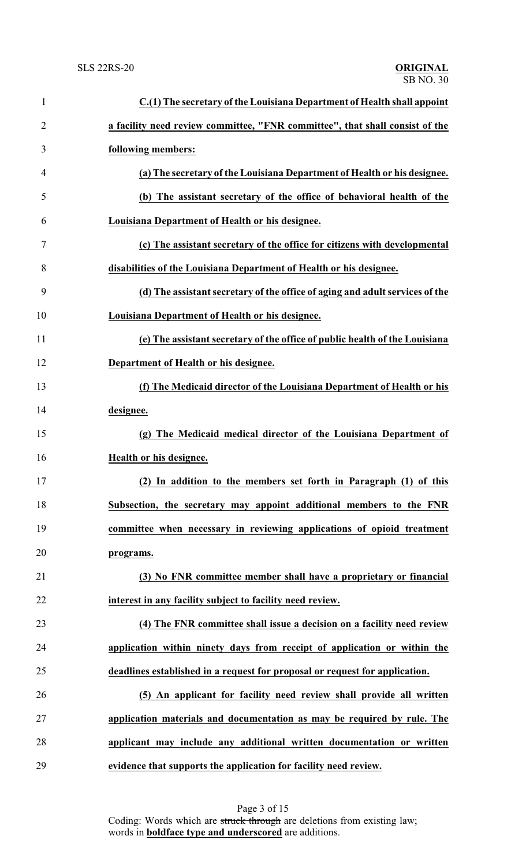| $\mathbf{1}$   | C.(1) The secretary of the Louisiana Department of Health shall appoint      |
|----------------|------------------------------------------------------------------------------|
| $\overline{2}$ | a facility need review committee, "FNR committee", that shall consist of the |
| 3              | following members:                                                           |
| 4              | (a) The secretary of the Louisiana Department of Health or his designee.     |
| 5              | (b) The assistant secretary of the office of behavioral health of the        |
| 6              | Louisiana Department of Health or his designee.                              |
| 7              | (c) The assistant secretary of the office for citizens with developmental    |
| 8              | disabilities of the Louisiana Department of Health or his designee.          |
| 9              | (d) The assistant secretary of the office of aging and adult services of the |
| 10             | Louisiana Department of Health or his designee.                              |
| 11             | (e) The assistant secretary of the office of public health of the Louisiana  |
| 12             | Department of Health or his designee.                                        |
| 13             | (f) The Medicaid director of the Louisiana Department of Health or his       |
| 14             | designee.                                                                    |
| 15             | (g) The Medicaid medical director of the Louisiana Department of             |
| 16             | Health or his designee.                                                      |
| 17             | (2) In addition to the members set forth in Paragraph (1) of this            |
| 18             | Subsection, the secretary may appoint additional members to the FNR          |
| 19             | committee when necessary in reviewing applications of opioid treatment       |
| 20             | programs.                                                                    |
| 21             | (3) No FNR committee member shall have a proprietary or financial            |
| 22             | interest in any facility subject to facility need review.                    |
| 23             | (4) The FNR committee shall issue a decision on a facility need review       |
| 24             | application within ninety days from receipt of application or within the     |
| 25             | deadlines established in a request for proposal or request for application.  |
| 26             | (5) An applicant for facility need review shall provide all written          |
| 27             | application materials and documentation as may be required by rule. The      |
| 28             | applicant may include any additional written documentation or written        |
| 29             | evidence that supports the application for facility need review.             |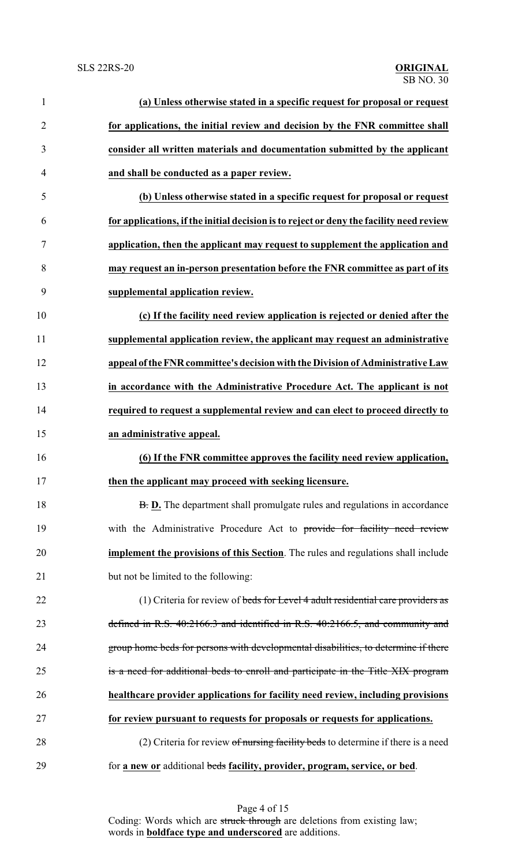| $\mathbf{1}$   | (a) Unless otherwise stated in a specific request for proposal or request               |
|----------------|-----------------------------------------------------------------------------------------|
| $\overline{c}$ | for applications, the initial review and decision by the FNR committee shall            |
| 3              | consider all written materials and documentation submitted by the applicant             |
| 4              | and shall be conducted as a paper review.                                               |
| 5              | (b) Unless otherwise stated in a specific request for proposal or request               |
| 6              | for applications, if the initial decision is to reject or deny the facility need review |
| 7              | application, then the applicant may request to supplement the application and           |
| 8              | may request an in-person presentation before the FNR committee as part of its           |
| 9              | supplemental application review.                                                        |
| 10             | (c) If the facility need review application is rejected or denied after the             |
| 11             | supplemental application review, the applicant may request an administrative            |
| 12             | appeal of the FNR committee's decision with the Division of Administrative Law          |
| 13             | in accordance with the Administrative Procedure Act. The applicant is not               |
| 14             | required to request a supplemental review and can elect to proceed directly to          |
| 15             | an administrative appeal.                                                               |
| 16             | (6) If the FNR committee approves the facility need review application,                 |
| 17             | then the applicant may proceed with seeking licensure.                                  |
| 18             | B. D. The department shall promulgate rules and regulations in accordance               |
| 19             | with the Administrative Procedure Act to provide for facility need review               |
| 20             | implement the provisions of this Section. The rules and regulations shall include       |
| 21             | but not be limited to the following:                                                    |
| 22             | (1) Criteria for review of beds for Level 4 adult residential care providers as         |
| 23             | defined in R.S. 40:2166.3 and identified in R.S. 40:2166.5, and community and           |
| 24             | group home beds for persons with developmental disabilities, to determine if there      |
| 25             | is a need for additional beds to enroll and participate in the Title XIX program        |
| 26             | healthcare provider applications for facility need review, including provisions         |
| 27             | for review pursuant to requests for proposals or requests for applications.             |
| 28             | (2) Criteria for review of nursing facility beds to determine if there is a need        |
| 29             | for a new or additional beds facility, provider, program, service, or bed.              |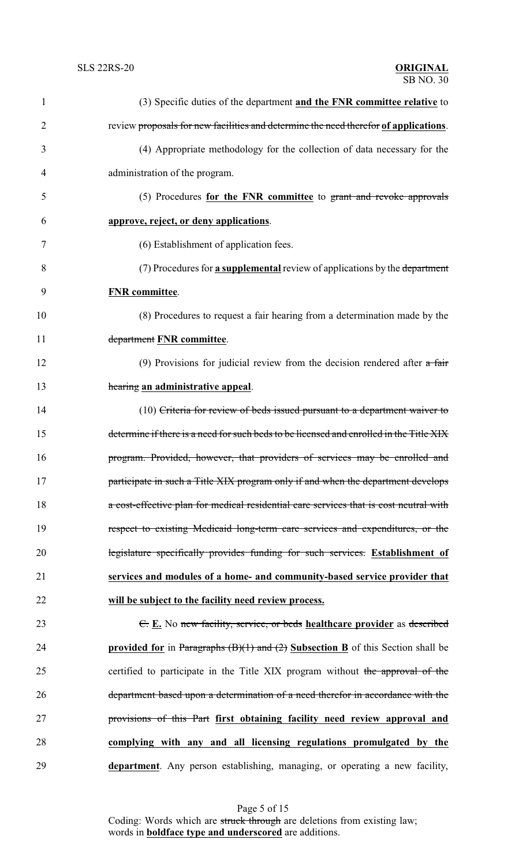| 1  | (3) Specific duties of the department and the FNR committee relative to                 |
|----|-----------------------------------------------------------------------------------------|
| 2  | review proposals for new facilities and determine the need therefor of applications.    |
| 3  | (4) Appropriate methodology for the collection of data necessary for the                |
| 4  | administration of the program.                                                          |
| 5  | (5) Procedures for the FNR committee to grant and revoke approvals                      |
| 6  | approve, reject, or deny applications.                                                  |
| 7  | (6) Establishment of application fees.                                                  |
| 8  | (7) Procedures for <b>a supplemental</b> review of applications by the department       |
| 9  | <b>FNR</b> committee.                                                                   |
| 10 | (8) Procedures to request a fair hearing from a determination made by the               |
| 11 | department FNR committee.                                                               |
| 12 | (9) Provisions for judicial review from the decision rendered after $a$ fair            |
| 13 | hearing an administrative appeal.                                                       |
| 14 | (10) Criteria for review of beds issued pursuant to a department waiver to              |
| 15 | determine if there is a need for such beds to be licensed and enrolled in the Title XIX |
| 16 | program. Provided, however, that providers of services may be enrolled and              |
| 17 | participate in such a Title XIX program only if and when the department develops        |
| 18 | a cost-effective plan for medical residential care services that is cost neutral with   |
| 19 | respect to existing Medicaid long-term care services and expenditures, or the           |
| 20 | legislature specifically provides funding for such services. Establishment of           |
| 21 | services and modules of a home- and community-based service provider that               |
| 22 | will be subject to the facility need review process.                                    |
| 23 | $E$ . E. No new facility, service, or beds healthcare provider as described             |
| 24 | provided for in Paragraphs $(B)(1)$ and $(2)$ Subsection B of this Section shall be     |
| 25 | certified to participate in the Title XIX program without the approval of the           |
| 26 | department based upon a determination of a need therefor in accordance with the         |
| 27 | provisions of this Part first obtaining facility need review approval and               |
| 28 | complying with any and all licensing regulations promulgated by the                     |
| 29 | department. Any person establishing, managing, or operating a new facility,             |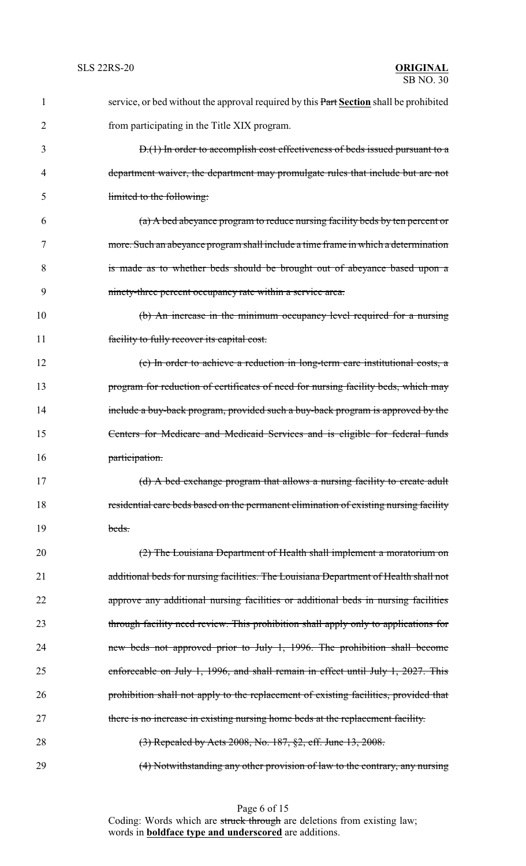| 1  | service, or bed without the approval required by this Part Section shall be prohibited |
|----|----------------------------------------------------------------------------------------|
| 2  | from participating in the Title XIX program.                                           |
| 3  | D.(1) In order to accomplish cost effectiveness of beds issued pursuant to a           |
| 4  | department waiver, the department may promulgate rules that include but are not        |
| 5  | limited to the following:                                                              |
| 6  | (a) A bed abeyance program to reduce nursing facility beds by ten percent or           |
| 7  | more. Such an abeyance program shall include a time frame in which a determination     |
| 8  | is made as to whether beds should be brought out of abeyance based upon a              |
| 9  | ninety-three percent occupancy rate within a service area.                             |
| 10 | (b) An increase in the minimum occupancy level required for a nursing                  |
| 11 | facility to fully recover its capital cost.                                            |
| 12 | (c) In order to achieve a reduction in long-term care institutional costs, a           |
| 13 | program for reduction of certificates of need for nursing facility beds, which may     |
| 14 | include a buy-back program, provided such a buy-back program is approved by the        |
| 15 | Centers for Medicare and Medicaid Services and is eligible for federal funds           |
| 16 | participation.                                                                         |
| 17 | (d) A bed exchange program that allows a nursing facility to create adult              |
| 18 | residential care beds based on the permanent elimination of existing nursing facility  |
| 19 | beds.                                                                                  |
| 20 | (2) The Louisiana Department of Health shall implement a moratorium on                 |
| 21 | additional beds for nursing facilities. The Louisiana Department of Health shall not   |
| 22 | approve any additional nursing facilities or additional beds in nursing facilities     |
| 23 | through facility need review. This prohibition shall apply only to applications for    |
| 24 | new beds not approved prior to July 1, 1996. The prohibition shall become              |
| 25 | enforceable on July 1, 1996, and shall remain in effect until July 1, 2027. This       |
| 26 | prohibition shall not apply to the replacement of existing facilities, provided that   |
| 27 | there is no increase in existing nursing home beds at the replacement facility.        |
| 28 | $(3)$ Repealed by Acts 2008, No. 187, §2, eff. June 13, 2008.                          |
| 29 | (4) Notwithstanding any other provision of law to the contrary, any nursing            |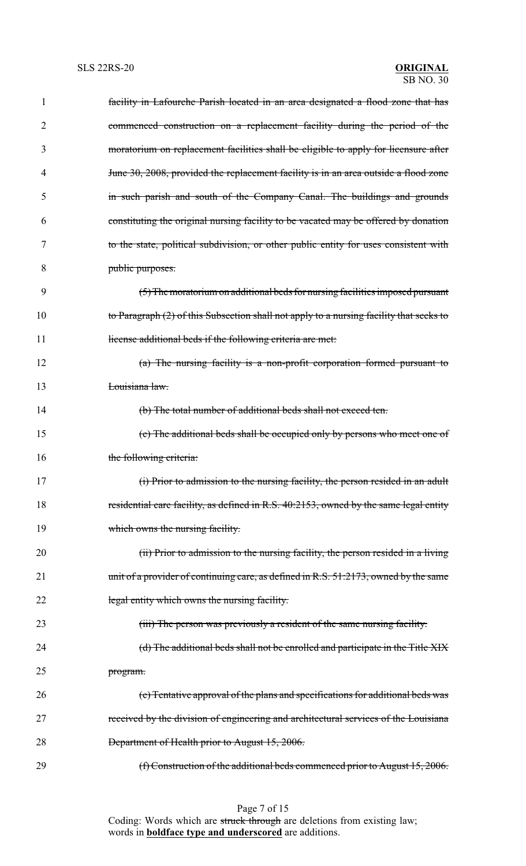| 1  | facility in Lafourche Parish located in an area designated a flood zone that has        |
|----|-----------------------------------------------------------------------------------------|
| 2  | commenced construction on a replacement facility during the period of the               |
| 3  | moratorium on replacement facilities shall be eligible to apply for licensure after     |
| 4  | June 30, 2008, provided the replacement facility is in an area outside a flood zone     |
| 5  | in such parish and south of the Company Canal. The buildings and grounds                |
| 6  | constituting the original nursing facility to be vacated may be offered by donation     |
| 7  | to the state, political subdivision, or other public entity for uses consistent with    |
| 8  | public purposes.                                                                        |
| 9  | (5) The moratorium on additional beds for nursing facilities imposed pursuant           |
| 10 | to Paragraph (2) of this Subsection shall not apply to a nursing facility that seeks to |
| 11 | license additional beds if the following criteria are met.                              |
| 12 | $(a)$ The nursing facility is a non-profit corporation formed pursuant to               |
| 13 | Louisiana law.                                                                          |
| 14 | (b) The total number of additional beds shall not exceed ten.                           |
| 15 | (c) The additional beds shall be occupied only by persons who meet one of               |
| 16 | the following criteria:                                                                 |
| 17 | (i) Prior to admission to the nursing facility, the person resided in an adult          |
| 18 | residential care facility, as defined in R.S. 40:2153, owned by the same legal entity   |
| 19 | which owns the nursing facility.                                                        |
| 20 | (ii) Prior to admission to the nursing facility, the person resided in a living         |
| 21 | unit of a provider of continuing care, as defined in R.S. 51:2173, owned by the same    |
| 22 | legal entity which owns the nursing facility.                                           |
| 23 | (iii) The person was previously a resident of the same nursing facility.                |
| 24 | (d) The additional beds shall not be enrolled and participate in the Title XIX          |
| 25 | program.                                                                                |
| 26 | (e) Tentative approval of the plans and specifications for additional beds was          |
| 27 | received by the division of engineering and architectural services of the Louisiana     |
| 28 | Department of Health prior to August 15, 2006.                                          |
| 29 | (f) Construction of the additional beds commenced prior to August 15, 2006.             |

Page 7 of 15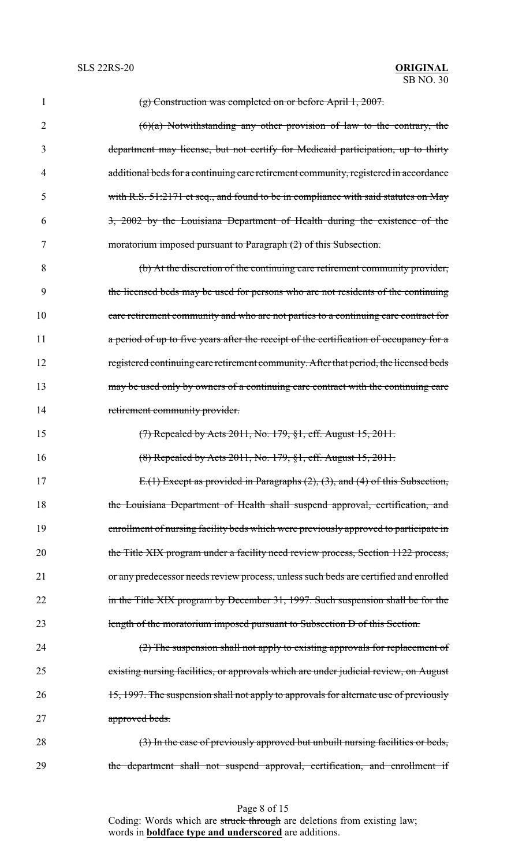| 1              | $(g)$ Construction was completed on or before April 1, 2007.                           |
|----------------|----------------------------------------------------------------------------------------|
| $\overline{2}$ | $(6)(a)$ Notwithstanding any other provision of law to the contrary, the               |
| 3              | department may license, but not certify for Medicaid participation, up to thirty       |
| 4              | additional beds for a continuing care retirement community, registered in accordance   |
| 5              | with R.S. 51:2171 et seq., and found to be in compliance with said statutes on May     |
| 6              | 3, 2002 by the Louisiana Department of Health during the existence of the              |
| 7              | moratorium imposed pursuant to Paragraph (2) of this Subsection.                       |
| 8              | (b) At the discretion of the continuing care retirement community provider,            |
| 9              | the licensed beds may be used for persons who are not residents of the continuing      |
| 10             | care retirement community and who are not parties to a continuing care contract for    |
| 11             | a period of up to five years after the receipt of the certification of occupancy for a |
| 12             | registered continuing care retirement community. After that period, the licensed beds  |
| 13             | may be used only by owners of a continuing care contract with the continuing care      |
| 14             | retirement community provider.                                                         |
| 15             | (7) Repealed by Acts 2011, No. 179, §1, eff. August 15, 2011.                          |
| 16             | $(8)$ Repealed by Acts 2011, No. 179, $§1$ , eff. August 15, 2011.                     |
| 17             | E.(1) Except as provided in Paragraphs (2), (3), and (4) of this Subsection,           |
| 18             | the Louisiana Department of Health shall suspend approval, certification, and          |
| 19             | enrollment of nursing facility beds which were previously approved to participate in   |
| 20             | the Title XIX program under a facility need review process, Section 1122 process,      |
| 21             | or any predecessor needs review process, unless such beds are certified and enrolled   |
| 22             | in the Title XIX program by December 31, 1997. Such suspension shall be for the        |
| 23             | length of the moratorium imposed pursuant to Subsection D of this Section.             |
| 24             | $(2)$ The suspension shall not apply to existing approvals for replacement of          |
| 25             | existing nursing facilities, or approvals which are under judicial review, on August   |
| 26             | 15, 1997. The suspension shall not apply to approvals for alternate use of previously  |
| 27             | approved beds.                                                                         |
| 28             | (3) In the case of previously approved but unbuilt nursing facilities or beds,         |
| 29             | the department shall not suspend approval, certification, and enrollment if            |

Page 8 of 15 Coding: Words which are struck through are deletions from existing law; words in **boldface type and underscored** are additions.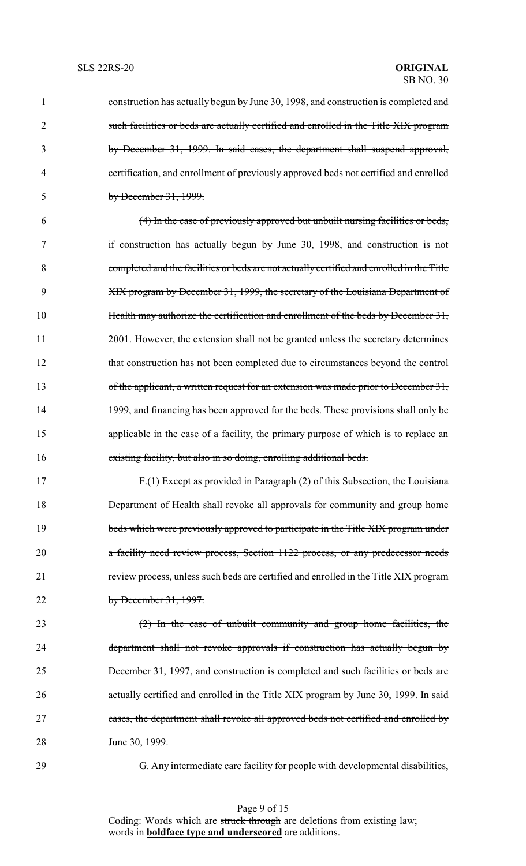| $\mathbf{1}$   | construction has actually begun by June 30, 1998, and construction is completed and       |
|----------------|-------------------------------------------------------------------------------------------|
| $\overline{2}$ | such facilities or beds are actually certified and enrolled in the Title XIX program      |
| 3              | by December 31, 1999. In said cases, the department shall suspend approval,               |
| 4              | certification, and enrollment of previously approved beds not certified and enrolled      |
| 5              | by December $31, 1999$ .                                                                  |
| 6              | (4) In the case of previously approved but unbuilt nursing facilities or beds,            |
| 7              | if construction has actually begun by June 30, 1998, and construction is not              |
| 8              | completed and the facilities or beds are not actually certified and enrolled in the Title |
| 9              | XIX program by December 31, 1999, the secretary of the Louisiana Department of            |
| 10             | Health may authorize the certification and enrollment of the beds by December 31,         |
| 11             | 2001. However, the extension shall not be granted unless the secretary determines         |
| 12             | that construction has not been completed due to circumstances beyond the control          |
| 13             | of the applicant, a written request for an extension was made prior to December 31,       |
| 14             | 1999, and financing has been approved for the beds. These provisions shall only be        |
| 15             | applicable in the case of a facility, the primary purpose of which is to replace an       |
| 16             | existing facility, but also in so doing, enrolling additional beds.                       |
| 17             | F.(1) Except as provided in Paragraph (2) of this Subsection, the Louisiana               |
| 18             | Department of Health shall revoke all approvals for community and group home              |
| 19             | beds which were previously approved to participate in the Title XIX program under         |
| 20             | a facility need review process, Section 1122 process, or any predecessor needs            |
| 21             | review process, unless such beds are certified and enrolled in the Title XIX program      |
| 22             | by December $31, 1997$ .                                                                  |
| 23             | $(2)$ In the case of unbuilt community and group home facilities, the                     |
| 24             | department shall not revoke approvals if construction has actually begun by               |
| 25             | December 31, 1997, and construction is completed and such facilities or beds are          |
| 26             | actually certified and enrolled in the Title XIX program by June 30, 1999. In said        |
| 27             | cases, the department shall revoke all approved beds not certified and enrolled by        |
| 28             | June 30, 1999.                                                                            |
| 29             | G. Any intermediate care facility for people with developmental disabilities,             |
|                |                                                                                           |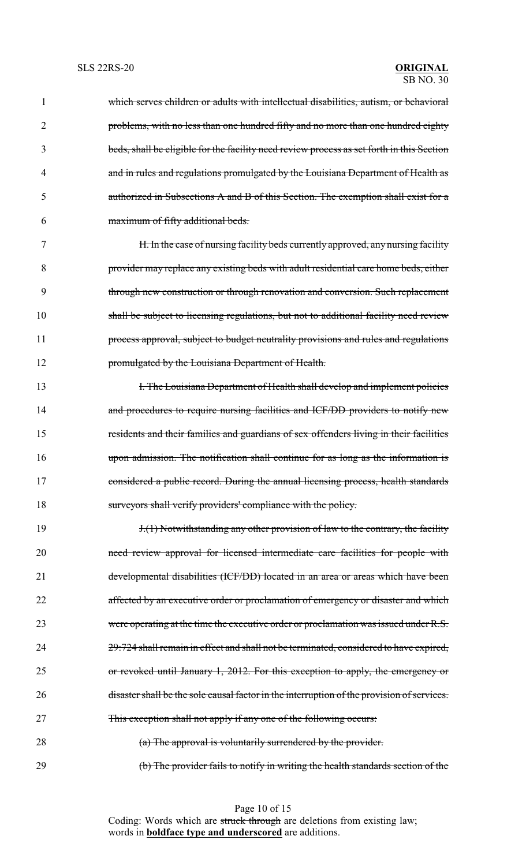which serves children or adults with intellectual disabilities, autism, or behavioral problems, with no less than one hundred fifty and no more than one hundred eighty beds, shall be eligible for the facility need review process as set forth in this Section and in rules and regulations promulgated by the Louisiana Department of Health as authorized in Subsections A and B of this Section. The exemption shall exist for a maximum of fifty additional beds.

 H. In the case of nursing facility beds currently approved, any nursing facility provider may replace any existing beds with adult residential care home beds, either through new construction or through renovation and conversion. Such replacement shall be subject to licensing regulations, but not to additional facility need review 11 process approval, subject to budget neutrality provisions and rules and regulations promulgated by the Louisiana Department of Health.

**I. The Louisiana Department of Health shall develop and implement policies** 14 and procedures to require nursing facilities and ICF/DD providers to notify new residents and their families and guardians of sex offenders living in their facilities upon admission. The notification shall continue for as long as the information is considered a public record. During the annual licensing process, health standards surveyors shall verify providers' compliance with the policy.

19 19 1.(1) Notwithstanding any other provision of law to the contrary, the facility need review approval for licensed intermediate care facilities for people with developmental disabilities (ICF/DD) located in an area or areas which have been affected by an executive order or proclamation of emergency or disaster and which were operating at the time the executive order or proclamation was issued under R.S. 29:724 shall remain in effect and shall not be terminated, considered to have expired, or revoked until January 1, 2012. For this exception to apply, the emergency or 26 disaster shall be the sole causal factor in the interruption of the provision of services. This exception shall not apply if any one of the following occurs: 28 (a) The approval is voluntarily surrendered by the provider.

(b) The provider fails to notify in writing the health standards section of the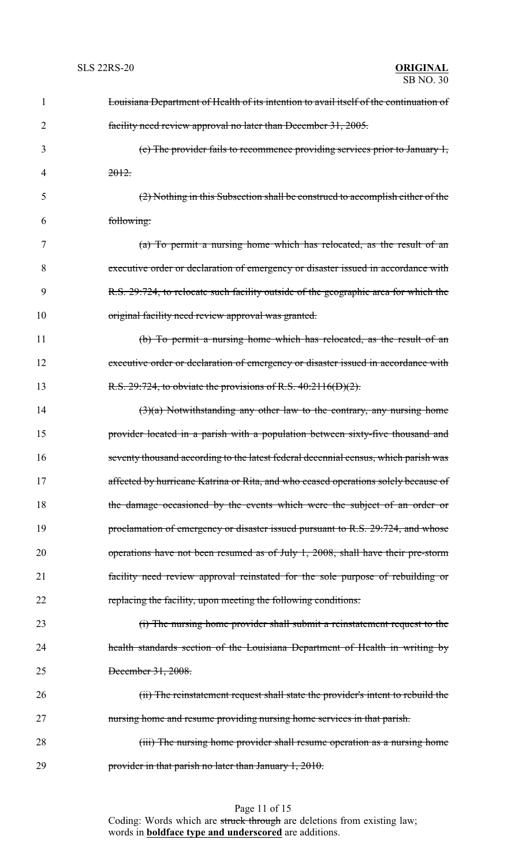| 1  | Louisiana Department of Health of its intention to avail itself of the continuation of |
|----|----------------------------------------------------------------------------------------|
| 2  | facility need review approval no later than December 31, 2005.                         |
| 3  | (c) The provider fails to recommence providing services prior to January $1$ ,         |
| 4  | 2012.                                                                                  |
| 5  | (2) Nothing in this Subsection shall be construed to accomplish either of the          |
| 6  | following:                                                                             |
| 7  | (a) To permit a nursing home which has relocated, as the result of an                  |
| 8  | executive order or declaration of emergency or disaster issued in accordance with      |
| 9  | R.S. 29:724, to relocate such facility outside of the geographic area for which the    |
| 10 | original facility need review approval was granted.                                    |
| 11 | (b) To permit a nursing home which has relocated, as the result of an                  |
| 12 | executive order or declaration of emergency or disaster issued in accordance with      |
| 13 | R.S. 29:724, to obviate the provisions of R.S. 40:2116(D)(2).                          |
| 14 | $(3)(a)$ Notwithstanding any other law to the contrary, any nursing home               |
| 15 | provider located in a parish with a population between sixty-five thousand and         |
| 16 | seventy thousand according to the latest federal decennial census, which parish was    |
| 17 | affected by hurricane Katrina or Rita, and who ceased operations solely because of     |
| 18 | the damage occasioned by the events which were the subject of an order or              |
| 19 | proclamation of emergency or disaster issued pursuant to R.S. 29:724, and whose        |
| 20 | operations have not been resumed as of July 1, 2008, shall have their pre-storm        |
| 21 | facility need review approval reinstated for the sole purpose of rebuilding or         |
| 22 | replacing the facility, upon meeting the following conditions:                         |
| 23 | (i) The nursing home provider shall submit a reinstatement request to the              |
| 24 | health standards section of the Louisiana Department of Health in writing by           |
| 25 | December 31, 2008.                                                                     |
| 26 | (ii) The reinstatement request shall state the provider's intent to rebuild the        |
| 27 | nursing home and resume providing nursing home services in that parish.                |
| 28 | (iii) The nursing home provider shall resume operation as a nursing home               |
| 29 | provider in that parish no later than January 1, 2010.                                 |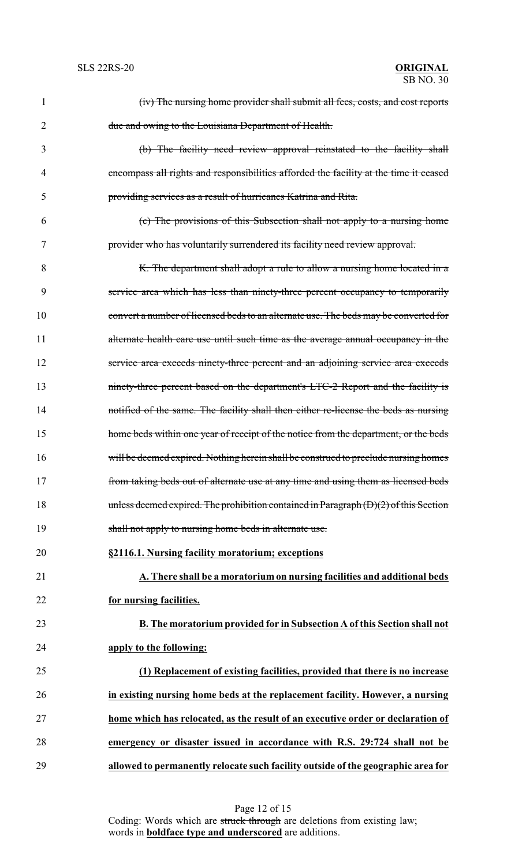| 1  | (iv) The nursing home provider shall submit all fees, costs, and cost reports          |
|----|----------------------------------------------------------------------------------------|
| 2  | due and owing to the Louisiana Department of Health.                                   |
| 3  | (b) The facility need review approval reinstated to the facility shall                 |
| 4  | encompass all rights and responsibilities afforded the facility at the time it ceased  |
| 5  | providing services as a result of hurricanes Katrina and Rita.                         |
| 6  | (c) The provisions of this Subsection shall not apply to a nursing home                |
| 7  | provider who has voluntarily surrendered its facility need review approval.            |
| 8  | K. The department shall adopt a rule to allow a nursing home located in a              |
| 9  | service area which has less than ninety-three percent occupancy to temporarily         |
| 10 | convert a number of licensed beds to an alternate use. The beds may be converted for   |
| 11 | alternate health care use until such time as the average annual occupancy in the       |
| 12 | service area exceeds ninety-three percent and an adjoining service area exceeds        |
| 13 | ninety-three percent based on the department's LTC-2 Report and the facility is        |
| 14 | notified of the same. The facility shall then either re-license the beds as nursing    |
| 15 | home beds within one year of receipt of the notice from the department, or the beds    |
| 16 | will be deemed expired. Nothing herein shall be construed to preclude nursing homes    |
| 17 | from taking beds out of alternate use at any time and using them as licensed beds      |
| 18 | unless deemed expired. The prohibition contained in Paragraph $(D)(2)$ of this Section |
| 19 | shall not apply to nursing home beds in alternate use.                                 |
| 20 | §2116.1. Nursing facility moratorium; exceptions                                       |
| 21 | A. There shall be a moratorium on nursing facilities and additional beds               |
| 22 | for nursing facilities.                                                                |
| 23 | <b>B.</b> The moratorium provided for in Subsection A of this Section shall not        |
| 24 | apply to the following:                                                                |
| 25 | (1) Replacement of existing facilities, provided that there is no increase             |
| 26 | in existing nursing home beds at the replacement facility. However, a nursing          |
| 27 | home which has relocated, as the result of an executive order or declaration of        |
| 28 | emergency or disaster issued in accordance with R.S. 29:724 shall not be               |
| 29 | allowed to permanently relocate such facility outside of the geographic area for       |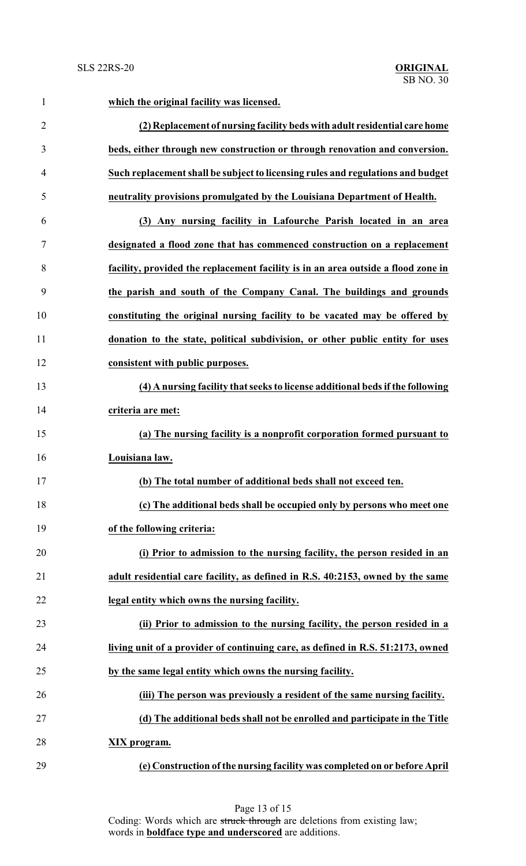| $\mathbf{1}$   | which the original facility was licensed.                                         |
|----------------|-----------------------------------------------------------------------------------|
| $\overline{2}$ | (2) Replacement of nursing facility beds with adult residential care home         |
| 3              | beds, either through new construction or through renovation and conversion.       |
| $\overline{4}$ | Such replacement shall be subject to licensing rules and regulations and budget   |
| 5              | neutrality provisions promulgated by the Louisiana Department of Health.          |
| 6              | (3) Any nursing facility in Lafourche Parish located in an area                   |
| 7              | designated a flood zone that has commenced construction on a replacement          |
| 8              | facility, provided the replacement facility is in an area outside a flood zone in |
| 9              | the parish and south of the Company Canal. The buildings and grounds              |
| 10             | constituting the original nursing facility to be vacated may be offered by        |
| 11             | donation to the state, political subdivision, or other public entity for uses     |
| 12             | consistent with public purposes.                                                  |
| 13             | (4) A nursing facility that seeks to license additional beds if the following     |
| 14             | criteria are met:                                                                 |
| 15             | (a) The nursing facility is a nonprofit corporation formed pursuant to            |
| 16             | Louisiana law.                                                                    |
| 17             | (b) The total number of additional beds shall not exceed ten.                     |
| 18             | (c) The additional beds shall be occupied only by persons who meet one            |
| 19             | of the following criteria:                                                        |
| 20             | (i) Prior to admission to the nursing facility, the person resided in an          |
| 21             | adult residential care facility, as defined in R.S. 40:2153, owned by the same    |
| 22             | legal entity which owns the nursing facility.                                     |
| 23             | (ii) Prior to admission to the nursing facility, the person resided in a          |
| 24             | living unit of a provider of continuing care, as defined in R.S. 51:2173, owned   |
| 25             | by the same legal entity which owns the nursing facility.                         |
| 26             | (iii) The person was previously a resident of the same nursing facility.          |
| 27             | (d) The additional beds shall not be enrolled and participate in the Title        |
| 28             | XIX program.                                                                      |
| 29             | (e) Construction of the nursing facility was completed on or before April         |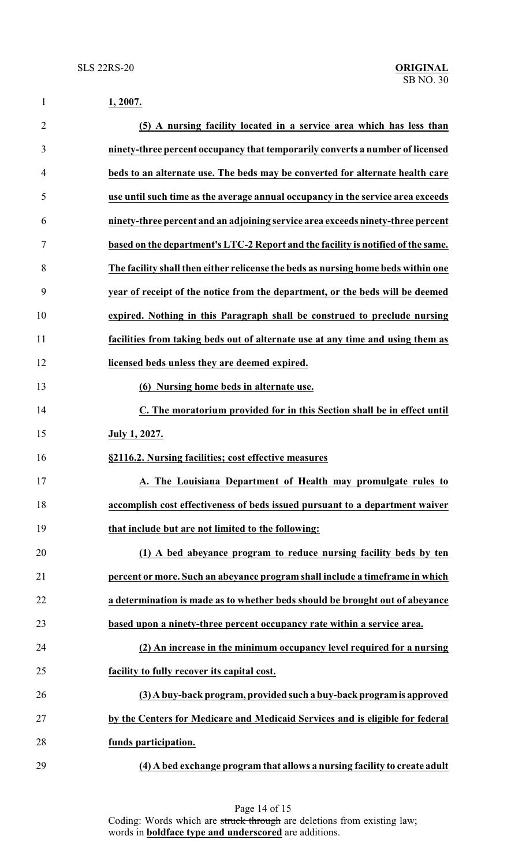| $\mathbf{1}$   | 1, 2007.                                                                          |
|----------------|-----------------------------------------------------------------------------------|
| $\overline{2}$ | (5) A nursing facility located in a service area which has less than              |
| 3              | ninety-three percent occupancy that temporarily converts a number of licensed     |
| 4              | beds to an alternate use. The beds may be converted for alternate health care     |
| 5              | use until such time as the average annual occupancy in the service area exceeds   |
| 6              | ninety-three percent and an adjoining service area exceeds ninety-three percent   |
| 7              | based on the department's LTC-2 Report and the facility is notified of the same.  |
| 8              | The facility shall then either relicense the beds as nursing home beds within one |
| 9              | year of receipt of the notice from the department, or the beds will be deemed     |
| 10             | expired. Nothing in this Paragraph shall be construed to preclude nursing         |
| 11             | facilities from taking beds out of alternate use at any time and using them as    |
| 12             | licensed beds unless they are deemed expired.                                     |
| 13             | (6) Nursing home beds in alternate use.                                           |
| 14             | C. The moratorium provided for in this Section shall be in effect until           |
| 15             | July 1, 2027.                                                                     |
| 16             | §2116.2. Nursing facilities; cost effective measures                              |
| 17             | A. The Louisiana Department of Health may promulgate rules to                     |
| 18             | accomplish cost effectiveness of beds issued pursuant to a department waiver      |
| 19             | that include but are not limited to the following:                                |
| 20             | (1) A bed abeyance program to reduce nursing facility beds by ten                 |
| 21             | percent or more. Such an abeyance program shall include a timeframe in which      |
| 22             | a determination is made as to whether beds should be brought out of abeyance      |
| 23             | based upon a ninety-three percent occupancy rate within a service area.           |
| 24             | (2) An increase in the minimum occupancy level required for a nursing             |
| 25             | facility to fully recover its capital cost.                                       |
| 26             | (3) A buy-back program, provided such a buy-back program is approved              |
| 27             | by the Centers for Medicare and Medicaid Services and is eligible for federal     |
| 28             | funds participation.                                                              |
| 29             | (4) A bed exchange program that allows a nursing facility to create adult         |